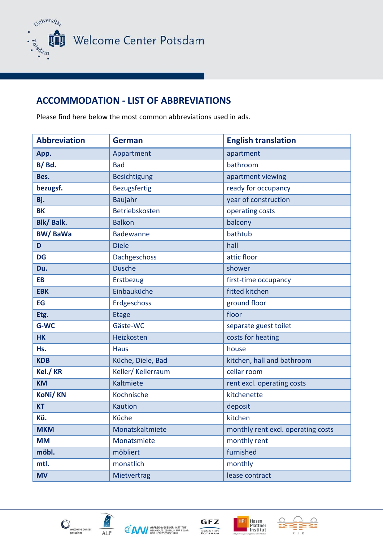

Welcome Center Potsdam

## **ACCOMMODATION - LIST OF ABBREVIATIONS**

Please find here below the most common abbreviations used in ads.

| <b>Abbreviation</b> | <b>German</b>       | <b>English translation</b>         |
|---------------------|---------------------|------------------------------------|
| App.                | Appartment          | apartment                          |
| $B/$ Bd.            | <b>Bad</b>          | bathroom                           |
| Bes.                | <b>Besichtigung</b> | apartment viewing                  |
| bezugsf.            | Bezugsfertig        | ready for occupancy                |
| Bj.                 | Baujahr             | year of construction               |
| <b>BK</b>           | Betriebskosten      | operating costs                    |
| <b>Blk/Balk.</b>    | <b>Balkon</b>       | balcony                            |
| <b>BW/BaWa</b>      | <b>Badewanne</b>    | bathtub                            |
| D                   | <b>Diele</b>        | hall                               |
| <b>DG</b>           | Dachgeschoss        | attic floor                        |
| Du.                 | <b>Dusche</b>       | shower                             |
| <b>EB</b>           | Erstbezug           | first-time occupancy               |
| <b>EBK</b>          | Einbauküche         | fitted kitchen                     |
| EG                  | Erdgeschoss         | ground floor                       |
| Etg.                | <b>Etage</b>        | floor                              |
| G-WC                | Gäste-WC            | separate guest toilet              |
| <b>HK</b>           | Heizkosten          | costs for heating                  |
| Hs.                 | <b>Haus</b>         | house                              |
| <b>KDB</b>          | Küche, Diele, Bad   | kitchen, hall and bathroom         |
| Kel./ KR            | Keller/ Kellerraum  | cellar room                        |
| <b>KM</b>           | Kaltmiete           | rent excl. operating costs         |
| <b>KoNi/KN</b>      | Kochnische          | kitchenette                        |
| <b>KT</b>           | <b>Kaution</b>      | deposit                            |
| Kü.                 | Küche               | kitchen                            |
| <b>MKM</b>          | Monatskaltmiete     | monthly rent excl. operating costs |
| <b>MM</b>           | Monatsmiete         | monthly rent                       |
| möbl.               | möbliert            | furnished                          |
| mtl.                | monatlich           | monthly                            |
| <b>MV</b>           | Mietvertrag         | lease contract                     |



AIP